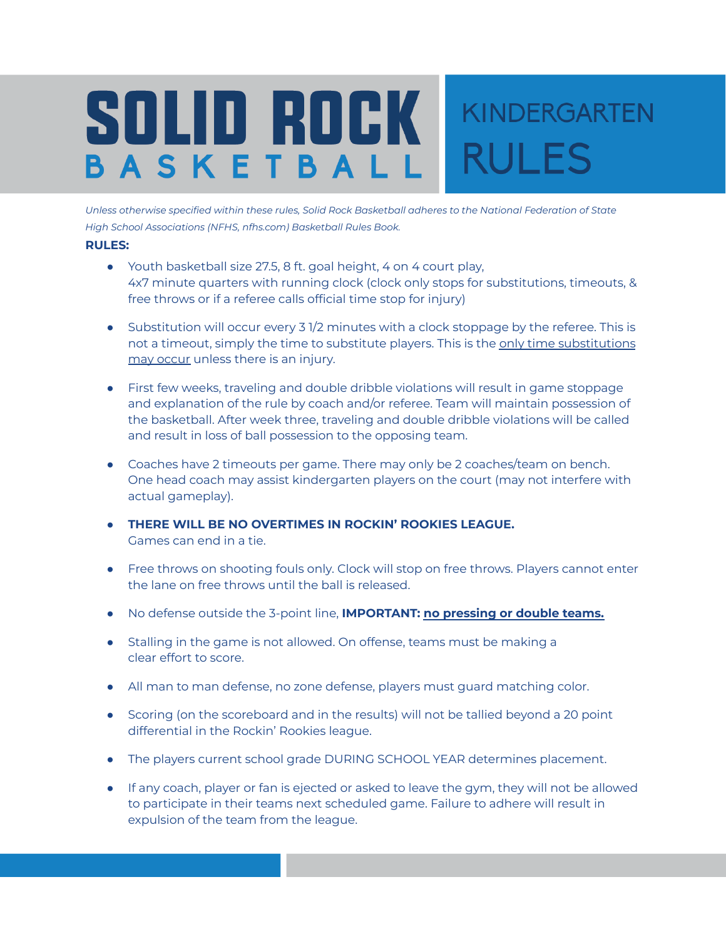## SOLID ROCK KINDERGARTEN **RULES** BASKETBAL

*Unless otherwise specified within these rules, Solid Rock Basketball adheres to the National Federation of State High School Associations (NFHS, nfhs.com) Basketball Rules Book.*

## **RULES:**

- Youth basketball size 27.5, 8 ft. goal height, 4 on 4 court play, 4x7 minute quarters with running clock (clock only stops for substitutions, timeouts, & free throws or if a referee calls official time stop for injury)
- Substitution will occur every 3 1/2 minutes with a clock stoppage by the referee. This is not a timeout, simply the time to substitute players. This is the only time substitutions may occur unless there is an injury.
- First few weeks, traveling and double dribble violations will result in game stoppage and explanation of the rule by coach and/or referee. Team will maintain possession of the basketball. After week three, traveling and double dribble violations will be called and result in loss of ball possession to the opposing team.
- Coaches have 2 timeouts per game. There may only be 2 coaches/team on bench. One head coach may assist kindergarten players on the court (may not interfere with actual gameplay).
- **THERE WILL BE NO OVERTIMES IN ROCKIN' ROOKIES LEAGUE.** Games can end in a tie.
- Free throws on shooting fouls only. Clock will stop on free throws. Players cannot enter the lane on free throws until the ball is released.
- No defense outside the 3-point line, **IMPORTANT: no pressing or double teams.**
- Stalling in the game is not allowed. On offense, teams must be making a clear effort to score.
- All man to man defense, no zone defense, players must guard matching color.
- Scoring (on the scoreboard and in the results) will not be tallied beyond a 20 point differential in the Rockin' Rookies league.
- The players current school grade DURING SCHOOL YEAR determines placement.
- If any coach, player or fan is ejected or asked to leave the gym, they will not be allowed to participate in their teams next scheduled game. Failure to adhere will result in expulsion of the team from the league.